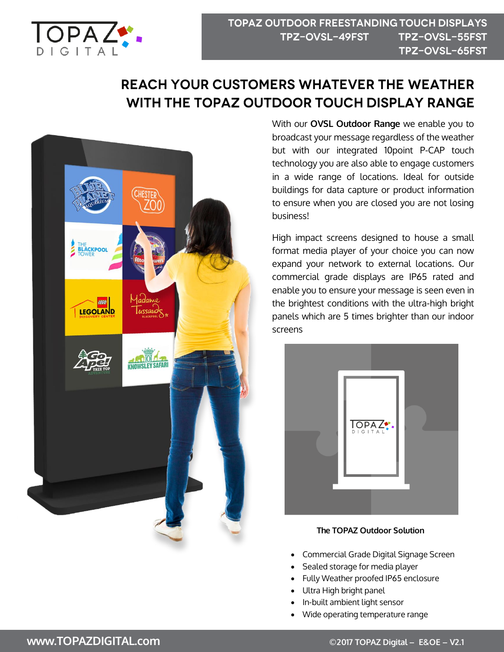

# **REACH YOUR CUSTOMERS WHATEVER THE WEATHER** WITH THE TOPAZ OUTDOOR TOUCH DISPLAY RANGE



With our **OVSL Outdoor Range** we enable you to broadcast your message regardless of the weather but with our integrated 10point P-CAP touch technology you are also able to engage customers in a wide range of locations. Ideal for outside buildings for data capture or product information to ensure when you are closed you are not losing business!

High impact screens designed to house a small format media player of your choice you can now expand your network to external locations. Our commercial grade displays are IP65 rated and enable you to ensure your message is seen even in the brightest conditions with the ultra-high bright panels which are 5 times brighter than our indoor screens



#### **The TOPAZ Outdoor Solution**

- Commercial Grade Digital Signage Screen
- Sealed storage for media player
- Fully Weather proofed IP65 enclosure
- Ultra High bright panel
- In-built ambient light sensor
- Wide operating temperature range

### **www.TOPAZDIGITAL.com ©2017 TOPAZ Digital – E&OE – V2.1**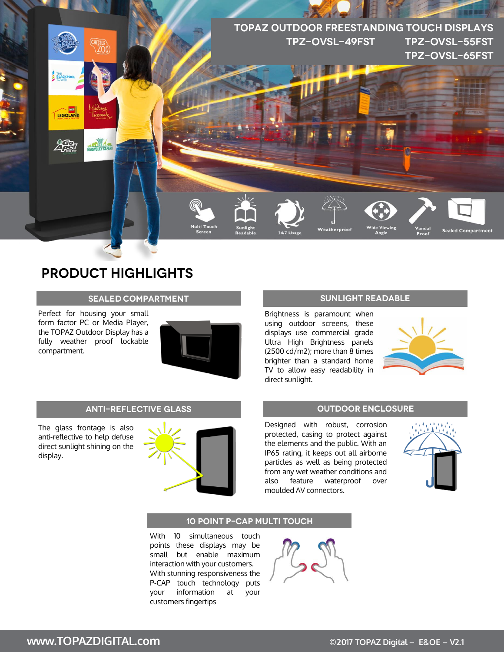

## **PRODUCT HIGHLIGHTS**

#### **SEALED COMPARTMENT**

Perfect for housing your small form factor PC or Media Player, the TOPAZ Outdoor Display has a fully weather proof lockable compartment.



#### **ANTI-REFLECTIVE GLASS**

The glass frontage is also anti-reflective to help defuse direct sunlight shining on the display.



#### **SUNLIGHT READABLE**

Brightness is paramount when using outdoor screens, these displays use commercial grade Ultra High Brightness panels (2500 cd/m2); more than 8 times brighter than a standard home TV to allow easy readability in direct sunlight.



#### **OUTDOOR ENCLOSURE**

Designed with robust, corrosion protected, casing to protect against the elements and the public. With an IP65 rating, it keeps out all airborne particles as well as being protected from any wet weather conditions and also feature waterproof over moulded AV connectors.



#### **10 POINT P-CAP MULTI TOUCH**

With 10 simultaneous touch points these displays may be small but enable maximum interaction with your customers. With stunning responsiveness the P-CAP touch technology puts your information at your customers fingertips